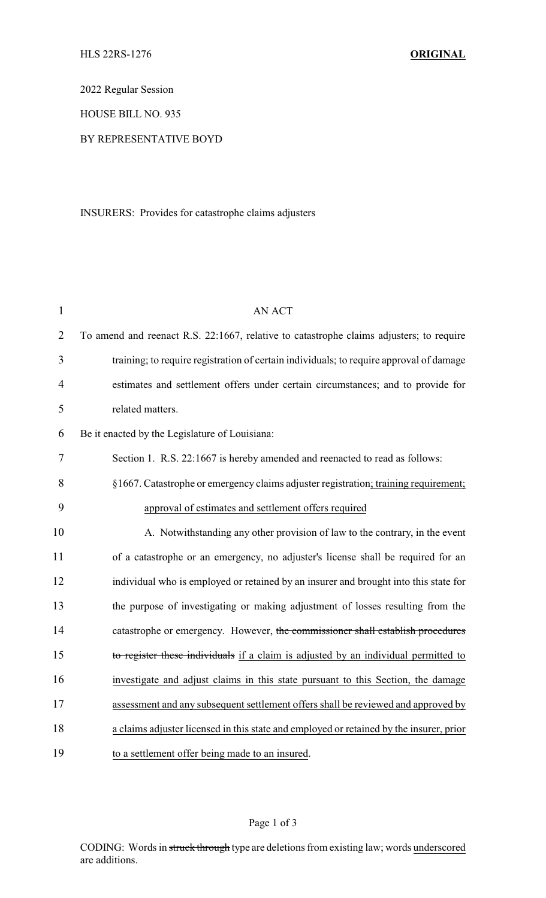2022 Regular Session

HOUSE BILL NO. 935

## BY REPRESENTATIVE BOYD

INSURERS: Provides for catastrophe claims adjusters

| $\mathbf{1}$   | <b>AN ACT</b>                                                                           |
|----------------|-----------------------------------------------------------------------------------------|
| $\overline{2}$ | To amend and reenact R.S. 22:1667, relative to catastrophe claims adjusters; to require |
| 3              | training; to require registration of certain individuals; to require approval of damage |
| $\overline{4}$ | estimates and settlement offers under certain circumstances; and to provide for         |
| 5              | related matters.                                                                        |
| 6              | Be it enacted by the Legislature of Louisiana:                                          |
| 7              | Section 1. R.S. 22:1667 is hereby amended and reenacted to read as follows:             |
| 8              | §1667. Catastrophe or emergency claims adjuster registration; training requirement;     |
| 9              | approval of estimates and settlement offers required                                    |
| 10             | A. Notwithstanding any other provision of law to the contrary, in the event             |
| 11             | of a catastrophe or an emergency, no adjuster's license shall be required for an        |
| 12             | individual who is employed or retained by an insurer and brought into this state for    |
| 13             | the purpose of investigating or making adjustment of losses resulting from the          |
| 14             | catastrophe or emergency. However, the commissioner shall establish procedures          |
| 15             | to register these individuals if a claim is adjusted by an individual permitted to      |
| 16             | investigate and adjust claims in this state pursuant to this Section, the damage        |
| 17             | assessment and any subsequent settlement offers shall be reviewed and approved by       |
| 18             | a claims adjuster licensed in this state and employed or retained by the insurer, prior |
| 19             | to a settlement offer being made to an insured.                                         |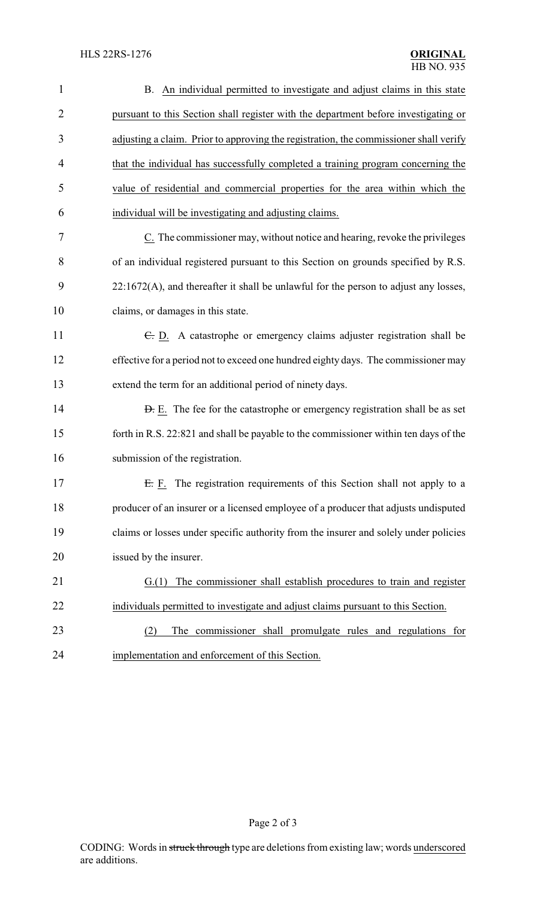| $\mathbf{1}$   | B. An individual permitted to investigate and adjust claims in this state             |
|----------------|---------------------------------------------------------------------------------------|
| $\overline{2}$ | pursuant to this Section shall register with the department before investigating or   |
| 3              | adjusting a claim. Prior to approving the registration, the commissioner shall verify |
| $\overline{4}$ | that the individual has successfully completed a training program concerning the      |
| 5              | value of residential and commercial properties for the area within which the          |
| 6              | individual will be investigating and adjusting claims.                                |
| 7              | C. The commissioner may, without notice and hearing, revoke the privileges            |
| 8              | of an individual registered pursuant to this Section on grounds specified by R.S.     |
| 9              | 22:1672(A), and thereafter it shall be unlawful for the person to adjust any losses,  |
| 10             | claims, or damages in this state.                                                     |
| 11             | E. D. A catastrophe or emergency claims adjuster registration shall be                |
| 12             | effective for a period not to exceed one hundred eighty days. The commissioner may    |
| 13             | extend the term for an additional period of ninety days.                              |
| 14             | <b>D.</b> E. The fee for the catastrophe or emergency registration shall be as set    |
| 15             | forth in R.S. 22:821 and shall be payable to the commissioner within ten days of the  |
| 16             | submission of the registration.                                                       |
| 17             | E. F. The registration requirements of this Section shall not apply to a              |
| 18             | producer of an insurer or a licensed employee of a producer that adjusts undisputed   |
| 19             | claims or losses under specific authority from the insurer and solely under policies  |
| 20             | issued by the insurer.                                                                |
| 21             | The commissioner shall establish procedures to train and register<br>G(1)             |
| 22             | individuals permitted to investigate and adjust claims pursuant to this Section.      |
| 23             | The commissioner shall promulgate rules and regulations for<br>(2)                    |
| 24             | implementation and enforcement of this Section.                                       |

Page 2 of 3